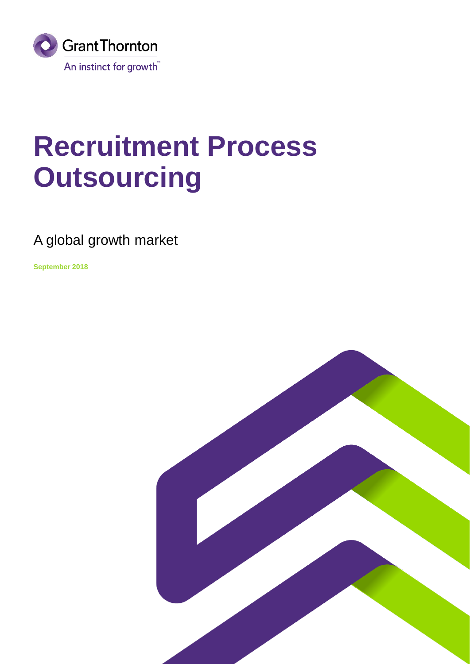

### **Recruitment Process Outsourcing**

### A global growth market

**September 2018**

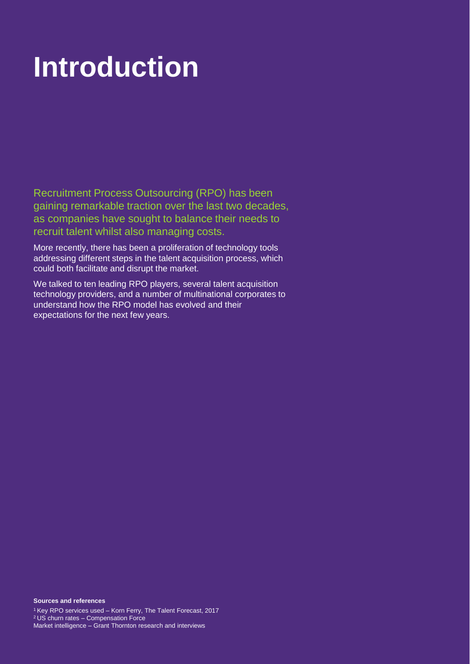## **Introduction Introduction**

Recruitment Process Outsourcing (RPO) has been gaining remarkable traction over the last two decades, as companies have sought to balance their needs to recruit talent whilst also managing costs.

More recently, there has been a proliferation of technology tools addressing different steps in the talent acquisition process, which could both facilitate and disrupt the market.

We talked to ten leading RPO players, several talent acquisition technology providers, and a number of multinational corporates to understand how the RPO model has evolved and their expectations for the next few years.

#### **Sources and references**

<sup>1</sup>Key RPO services used – Korn Ferry, The Talent Forecast, 2017 <sup>2</sup>US churn rates – Compensation Force Market intelligence – Grant Thornton research and interviews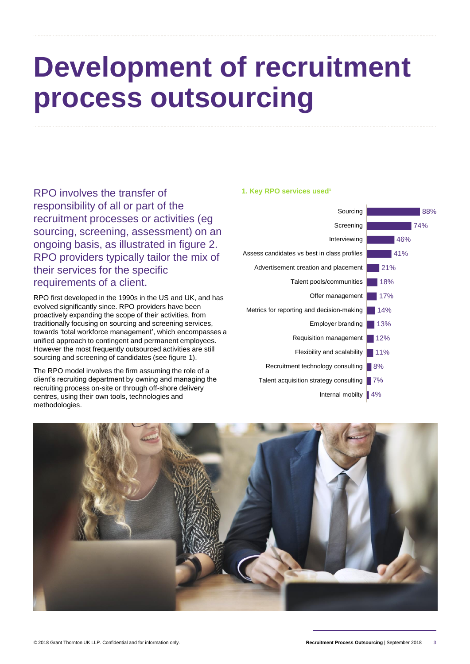### **Development of recruitment process outsourcing**

RPO involves the transfer of responsibility of all or part of the recruitment processes or activities (eg sourcing, screening, assessment) on an ongoing basis, as illustrated in figure 2. RPO providers typically tailor the mix of their services for the specific requirements of a client.

RPO first developed in the 1990s in the US and UK, and has evolved significantly since. RPO providers have been proactively expanding the scope of their activities, from traditionally focusing on sourcing and screening services, towards 'total workforce management', which encompasses a unified approach to contingent and permanent employees. However the most frequently outsourced activities are still sourcing and screening of candidates (see figure 1).

The RPO model involves the firm assuming the role of a client's recruiting department by owning and managing the recruiting process on-site or through off-shore delivery centres, using their own tools, technologies and methodologies.





#### **1. Key RPO services used<sup>1</sup>**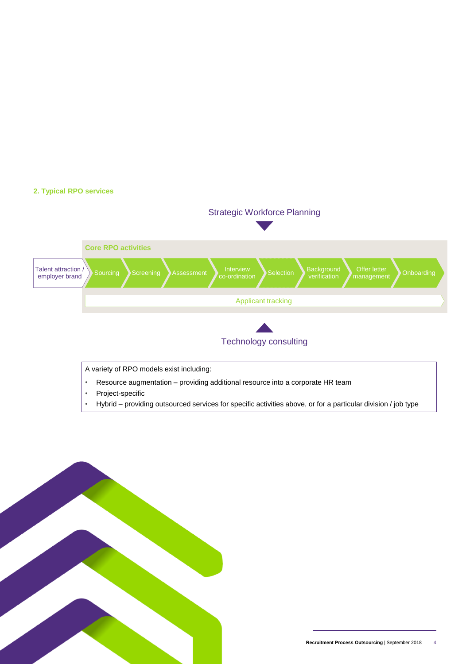#### **2. Typical RPO services**



- Project-specific
- Hybrid providing outsourced services for specific activities above, or for a particular division / job type

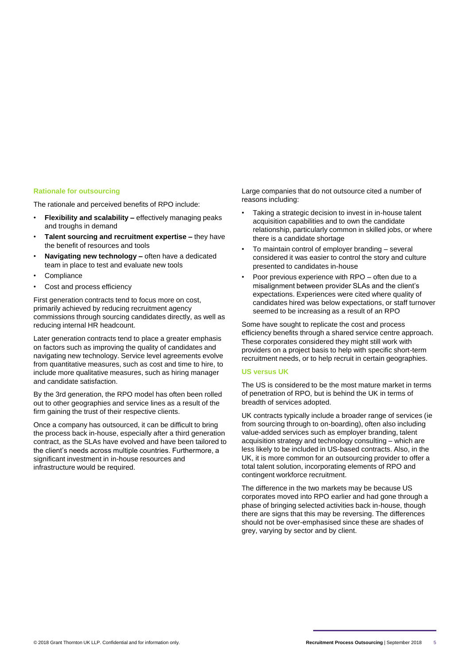#### **Rationale for outsourcing**

The rationale and perceived benefits of RPO include:

- **Flexibility and scalability –** effectively managing peaks and troughs in demand
- **Talent sourcing and recruitment expertise –** they have the benefit of resources and tools
- **Navigating new technology –** often have a dedicated team in place to test and evaluate new tools
- **Compliance**
- Cost and process efficiency

First generation contracts tend to focus more on cost, primarily achieved by reducing recruitment agency commissions through sourcing candidates directly, as well as reducing internal HR headcount.

Later generation contracts tend to place a greater emphasis on factors such as improving the quality of candidates and navigating new technology. Service level agreements evolve from quantitative measures, such as cost and time to hire, to include more qualitative measures, such as hiring manager and candidate satisfaction.

By the 3rd generation, the RPO model has often been rolled out to other geographies and service lines as a result of the firm gaining the trust of their respective clients.

Once a company has outsourced, it can be difficult to bring the process back in-house, especially after a third generation contract, as the SLAs have evolved and have been tailored to the client's needs across multiple countries. Furthermore, a significant investment in in-house resources and infrastructure would be required.

Large companies that do not outsource cited a number of reasons including:

- Taking a strategic decision to invest in in-house talent acquisition capabilities and to own the candidate relationship, particularly common in skilled jobs, or where there is a candidate shortage
- To maintain control of employer branding several considered it was easier to control the story and culture presented to candidates in-house
- Poor previous experience with RPO often due to a misalignment between provider SLAs and the client's expectations. Experiences were cited where quality of candidates hired was below expectations, or staff turnover seemed to be increasing as a result of an RPO

Some have sought to replicate the cost and process efficiency benefits through a shared service centre approach. These corporates considered they might still work with providers on a project basis to help with specific short-term recruitment needs, or to help recruit in certain geographies.

#### **US versus UK**

The US is considered to be the most mature market in terms of penetration of RPO, but is behind the UK in terms of breadth of services adopted.

UK contracts typically include a broader range of services (ie from sourcing through to on-boarding), often also including value-added services such as employer branding, talent acquisition strategy and technology consulting – which are less likely to be included in US-based contracts. Also, in the UK, it is more common for an outsourcing provider to offer a total talent solution, incorporating elements of RPO and contingent workforce recruitment.

The difference in the two markets may be because US corporates moved into RPO earlier and had gone through a phase of bringing selected activities back in-house, though there are signs that this may be reversing. The differences should not be over-emphasised since these are shades of grey, varying by sector and by client.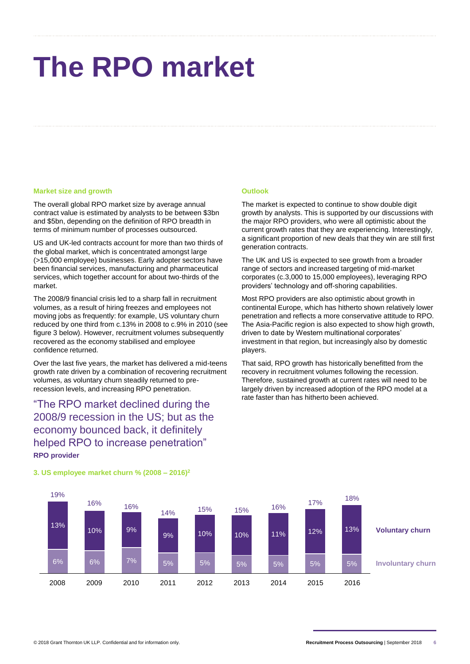# **The RPO market**

#### **Market size and growth**

The overall global RPO market size by average annual contract value is estimated by analysts to be between \$3bn and \$5bn, depending on the definition of RPO breadth in terms of minimum number of processes outsourced.

US and UK-led contracts account for more than two thirds of the global market, which is concentrated amongst large (>15,000 employee) businesses. Early adopter sectors have been financial services, manufacturing and pharmaceutical services, which together account for about two-thirds of the market.

The 2008/9 financial crisis led to a sharp fall in recruitment volumes, as a result of hiring freezes and employees not moving jobs as frequently: for example, US voluntary churn reduced by one third from c.13% in 2008 to c.9% in 2010 (see figure 3 below). However, recruitment volumes subsequently recovered as the economy stabilised and employee confidence returned.

Over the last five years, the market has delivered a mid-teens growth rate driven by a combination of recovering recruitment volumes, as voluntary churn steadily returned to prerecession levels, and increasing RPO penetration.

"The RPO market declined during the 2008/9 recession in the US; but as the economy bounced back, it definitely helped RPO to increase penetration" **RPO provider**

#### **Outlook**

The market is expected to continue to show double digit growth by analysts. This is supported by our discussions with the major RPO providers, who were all optimistic about the current growth rates that they are experiencing. Interestingly, a significant proportion of new deals that they win are still first generation contracts.

The UK and US is expected to see growth from a broader range of sectors and increased targeting of mid-market corporates (c.3,000 to 15,000 employees), leveraging RPO providers' technology and off-shoring capabilities.

Most RPO providers are also optimistic about growth in continental Europe, which has hitherto shown relatively lower penetration and reflects a more conservative attitude to RPO. The Asia-Pacific region is also expected to show high growth, driven to date by Western multinational corporates' investment in that region, but increasingly also by domestic players.

That said, RPO growth has historically benefitted from the recovery in recruitment volumes following the recession. Therefore, sustained growth at current rates will need to be largely driven by increased adoption of the RPO model at a rate faster than has hitherto been achieved.



#### **3. US employee market churn % (2008 – 2016)<sup>2</sup>**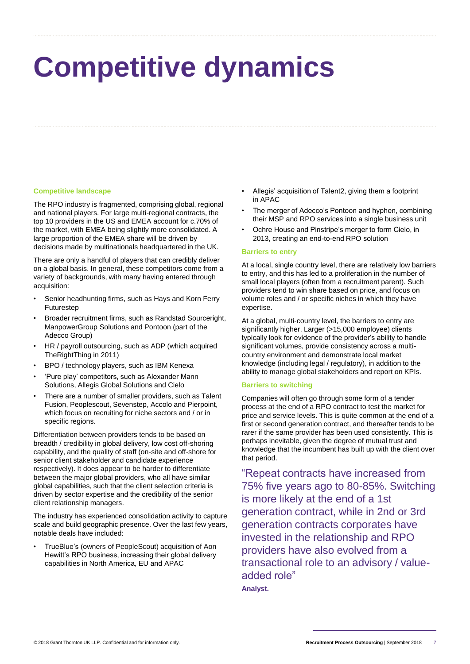# **Competitive dynamics**

#### **Competitive landscape**

The RPO industry is fragmented, comprising global, regional and national players. For large multi-regional contracts, the top 10 providers in the US and EMEA account for c.70% of the market, with EMEA being slightly more consolidated. A large proportion of the EMEA share will be driven by decisions made by multinationals headquartered in the UK.

There are only a handful of players that can credibly deliver on a global basis. In general, these competitors come from a variety of backgrounds, with many having entered through acquisition:

- Senior headhunting firms, such as Hays and Korn Ferry Futurestep
- Broader recruitment firms, such as Randstad Sourceright, ManpowerGroup Solutions and Pontoon (part of the Adecco Group)
- HR / payroll outsourcing, such as ADP (which acquired TheRightThing in 2011)
- BPO / technology players, such as IBM Kenexa
- 'Pure play' competitors, such as Alexander Mann Solutions, Allegis Global Solutions and Cielo
- There are a number of smaller providers, such as Talent Fusion, Peoplescout, Sevenstep, Accolo and Pierpoint, which focus on recruiting for niche sectors and / or in specific regions.

Differentiation between providers tends to be based on breadth / credibility in global delivery, low cost off-shoring capability, and the quality of staff (on-site and off-shore for senior client stakeholder and candidate experience respectively). It does appear to be harder to differentiate between the major global providers, who all have similar global capabilities, such that the client selection criteria is driven by sector expertise and the credibility of the senior client relationship managers.

The industry has experienced consolidation activity to capture scale and build geographic presence. Over the last few years, notable deals have included:

• TrueBlue's (owners of PeopleScout) acquisition of Aon Hewitt's RPO business, increasing their global delivery capabilities in North America, EU and APAC

- Allegis' acquisition of Talent2, giving them a footprint in APAC
- The merger of Adecco's Pontoon and hyphen, combining their MSP and RPO services into a single business unit
- Ochre House and Pinstripe's merger to form Cielo, in 2013, creating an end-to-end RPO solution

#### **Barriers to entry**

At a local, single country level, there are relatively low barriers to entry, and this has led to a proliferation in the number of small local players (often from a recruitment parent). Such providers tend to win share based on price, and focus on volume roles and / or specific niches in which they have expertise.

At a global, multi-country level, the barriers to entry are significantly higher. Larger (>15,000 employee) clients typically look for evidence of the provider's ability to handle significant volumes, provide consistency across a multicountry environment and demonstrate local market knowledge (including legal / regulatory), in addition to the ability to manage global stakeholders and report on KPIs.

#### **Barriers to switching**

Companies will often go through some form of a tender process at the end of a RPO contract to test the market for price and service levels. This is quite common at the end of a first or second generation contract, and thereafter tends to be rarer if the same provider has been used consistently. This is perhaps inevitable, given the degree of mutual trust and knowledge that the incumbent has built up with the client over that period.

"Repeat contracts have increased from 75% five years ago to 80-85%. Switching is more likely at the end of a 1st generation contract, while in 2nd or 3rd generation contracts corporates have invested in the relationship and RPO providers have also evolved from a transactional role to an advisory / valueadded role"

**Analyst.**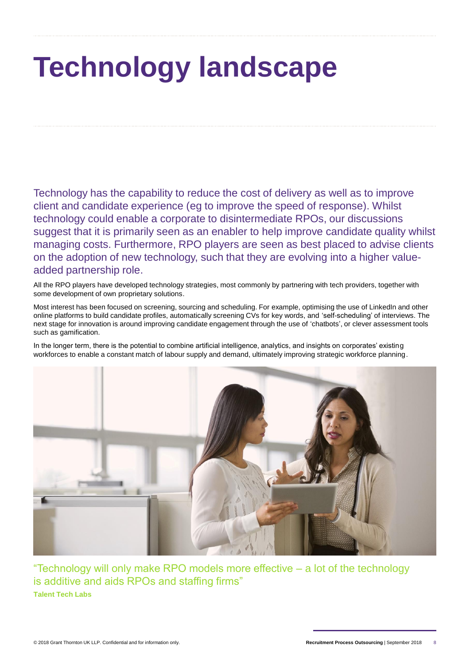# **Technology landscape**

Technology has the capability to reduce the cost of delivery as well as to improve client and candidate experience (eg to improve the speed of response). Whilst technology could enable a corporate to disintermediate RPOs, our discussions suggest that it is primarily seen as an enabler to help improve candidate quality whilst managing costs. Furthermore, RPO players are seen as best placed to advise clients on the adoption of new technology, such that they are evolving into a higher valueadded partnership role.

All the RPO players have developed technology strategies, most commonly by partnering with tech providers, together with some development of own proprietary solutions.

Most interest has been focused on screening, sourcing and scheduling. For example, optimising the use of LinkedIn and other online platforms to build candidate profiles, automatically screening CVs for key words, and 'self-scheduling' of interviews. The next stage for innovation is around improving candidate engagement through the use of 'chatbots', or clever assessment tools such as gamification.

In the longer term, there is the potential to combine artificial intelligence, analytics, and insights on corporates' existing workforces to enable a constant match of labour supply and demand, ultimately improving strategic workforce planning.



"Technology will only make RPO models more effective – a lot of the technology is additive and aids RPOs and staffing firms" **Talent Tech Labs**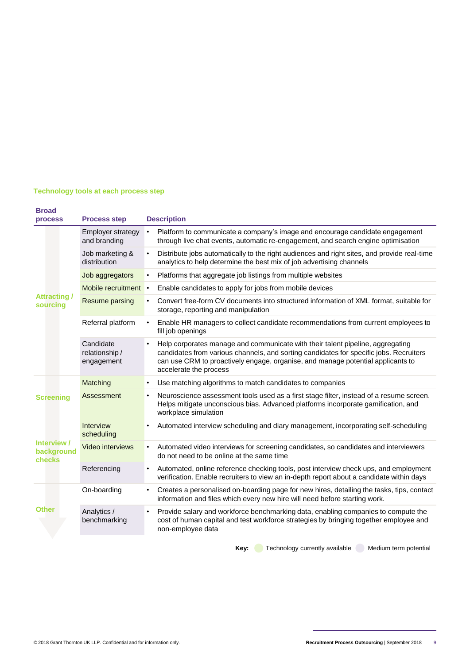#### **Technology tools at each process step**

| <b>Broad</b><br><b>process</b>                                                                             | <b>Process step</b>                       | <b>Description</b>                                                                                                                                                                                                                                                                    |
|------------------------------------------------------------------------------------------------------------|-------------------------------------------|---------------------------------------------------------------------------------------------------------------------------------------------------------------------------------------------------------------------------------------------------------------------------------------|
| <b>Attracting</b> /<br>sourcing<br><b>Screening</b><br>Interview /<br>background<br>checks<br><b>Other</b> | <b>Employer strategy</b><br>and branding  | Platform to communicate a company's image and encourage candidate engagement<br>$\bullet$<br>through live chat events, automatic re-engagement, and search engine optimisation                                                                                                        |
|                                                                                                            | Job marketing &<br>distribution           | Distribute jobs automatically to the right audiences and right sites, and provide real-time<br>analytics to help determine the best mix of job advertising channels                                                                                                                   |
|                                                                                                            | Job aggregators                           | Platforms that aggregate job listings from multiple websites                                                                                                                                                                                                                          |
|                                                                                                            | Mobile recruitment •                      | Enable candidates to apply for jobs from mobile devices                                                                                                                                                                                                                               |
|                                                                                                            | Resume parsing                            | Convert free-form CV documents into structured information of XML format, suitable for<br>storage, reporting and manipulation                                                                                                                                                         |
|                                                                                                            | Referral platform                         | Enable HR managers to collect candidate recommendations from current employees to<br>fill job openings                                                                                                                                                                                |
|                                                                                                            | Candidate<br>relationship /<br>engagement | Help corporates manage and communicate with their talent pipeline, aggregating<br>candidates from various channels, and sorting candidates for specific jobs. Recruiters<br>can use CRM to proactively engage, organise, and manage potential applicants to<br>accelerate the process |
|                                                                                                            | Matching                                  | Use matching algorithms to match candidates to companies                                                                                                                                                                                                                              |
|                                                                                                            | Assessment                                | Neuroscience assessment tools used as a first stage filter, instead of a resume screen.<br>$\bullet$<br>Helps mitigate unconscious bias. Advanced platforms incorporate gamification, and<br>workplace simulation                                                                     |
|                                                                                                            | <b>Interview</b><br>scheduling            | Automated interview scheduling and diary management, incorporating self-scheduling                                                                                                                                                                                                    |
|                                                                                                            | <b>Video interviews</b>                   | Automated video interviews for screening candidates, so candidates and interviewers<br>do not need to be online at the same time                                                                                                                                                      |
|                                                                                                            | Referencing                               | Automated, online reference checking tools, post interview check ups, and employment<br>verification. Enable recruiters to view an in-depth report about a candidate within days                                                                                                      |
|                                                                                                            | On-boarding                               | Creates a personalised on-boarding page for new hires, detailing the tasks, tips, contact<br>information and files which every new hire will need before starting work.                                                                                                               |
|                                                                                                            | Analytics /<br>benchmarking               | Provide salary and workforce benchmarking data, enabling companies to compute the<br>cost of human capital and test workforce strategies by bringing together employee and<br>non-employee data                                                                                       |

Key: **Technology currently available** Medium term potential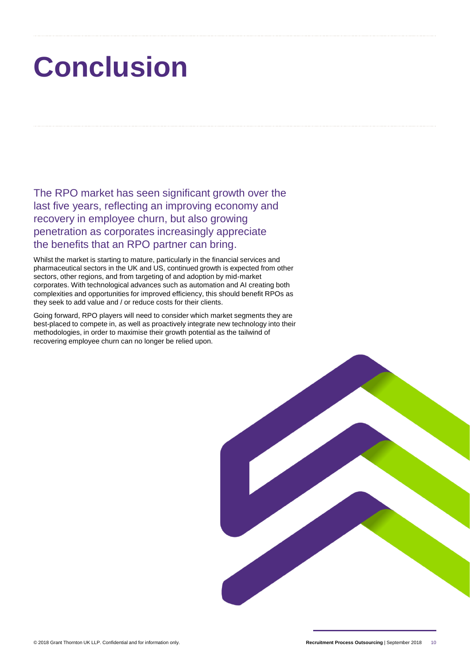# **Conclusion**

The RPO market has seen significant growth over the last five years, reflecting an improving economy and recovery in employee churn, but also growing penetration as corporates increasingly appreciate the benefits that an RPO partner can bring.

Whilst the market is starting to mature, particularly in the financial services and pharmaceutical sectors in the UK and US, continued growth is expected from other sectors, other regions, and from targeting of and adoption by mid-market corporates. With technological advances such as automation and AI creating both complexities and opportunities for improved efficiency, this should benefit RPOs as they seek to add value and / or reduce costs for their clients.

Going forward, RPO players will need to consider which market segments they are best-placed to compete in, as well as proactively integrate new technology into their methodologies, in order to maximise their growth potential as the tailwind of recovering employee churn can no longer be relied upon.